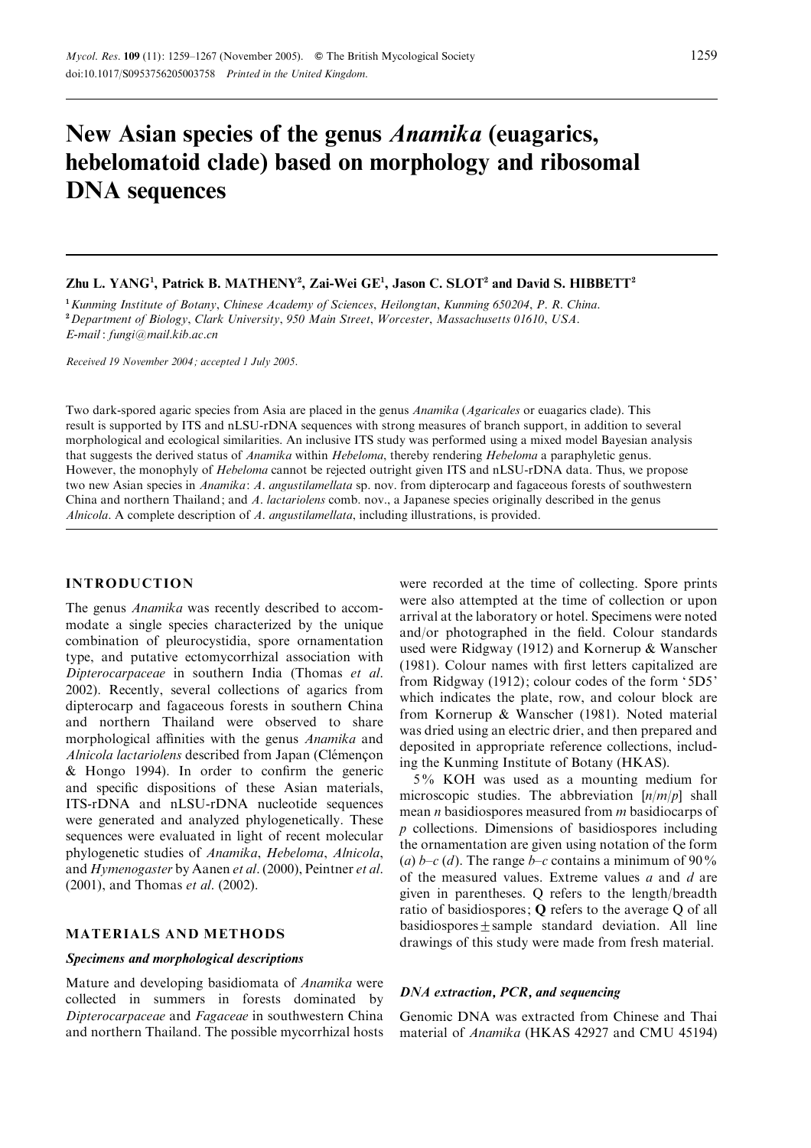# New Asian species of the genus Anamika (euagarics, hebelomatoid clade) based on morphology and ribosomal DNA sequences

# Zhu L. YANG<sup>1</sup>, Patrick B. MATHENY<sup>2</sup>, Zai-Wei GE<sup>1</sup>, Jason C. SLOT<sup>2</sup> and David S. HIBBETT<sup>2</sup>

<sup>1</sup> Kunming Institute of Botany, Chinese Academy of Sciences, Heilongtan, Kunming 650204, P. R. China. <sup>2</sup> Department of Biology, Clark University, 950 Main Street, Worcester, Massachusetts 01610, USA. E-mail : fungi@mail.kib.ac.cn

Received 19 November 2004 ; accepted 1 July 2005.

Two dark-spored agaric species from Asia are placed in the genus Anamika (Agaricales or euagarics clade). This result is supported by ITS and nLSU-rDNA sequences with strong measures of branch support, in addition to several morphological and ecological similarities. An inclusive ITS study was performed using a mixed model Bayesian analysis that suggests the derived status of Anamika within Hebeloma, thereby rendering Hebeloma a paraphyletic genus. However, the monophyly of Hebeloma cannot be rejected outright given ITS and nLSU-rDNA data. Thus, we propose two new Asian species in *Anamika: A. angustilamellata* sp. nov. from dipterocarp and fagaceous forests of southwestern China and northern Thailand; and A. lactariolens comb. nov., a Japanese species originally described in the genus Alnicola. A complete description of A. angustilamellata, including illustrations, is provided.

#### INTRODUCTION

The genus *Anamika* was recently described to accommodate a single species characterized by the unique combination of pleurocystidia, spore ornamentation type, and putative ectomycorrhizal association with Dipterocarpaceae in southern India (Thomas et al. 2002). Recently, several collections of agarics from dipterocarp and fagaceous forests in southern China and northern Thailand were observed to share morphological affinities with the genus Anamika and Alnicola lactariolens described from Japan (Clémençon & Hongo 1994). In order to confirm the generic and specific dispositions of these Asian materials, ITS-rDNA and nLSU-rDNA nucleotide sequences were generated and analyzed phylogenetically. These sequences were evaluated in light of recent molecular phylogenetic studies of Anamika, Hebeloma, Alnicola, and Hymenogaster by Aanen et al. (2000), Peintner et al. (2001), and Thomas et al. (2002).

# MATERIALS AND METHODS

# Specimens and morphological descriptions

Mature and developing basidiomata of Anamika were collected in summers in forests dominated by Dipterocarpaceae and Fagaceae in southwestern China and northern Thailand. The possible mycorrhizal hosts

were recorded at the time of collecting. Spore prints were also attempted at the time of collection or upon arrival at the laboratory or hotel. Specimens were noted and/or photographed in the field. Colour standards used were Ridgway (1912) and Kornerup & Wanscher (1981). Colour names with first letters capitalized are from Ridgway (1912); colour codes of the form '5D5' which indicates the plate, row, and colour block are from Kornerup & Wanscher (1981). Noted material was dried using an electric drier, and then prepared and deposited in appropriate reference collections, including the Kunming Institute of Botany (HKAS).

5% KOH was used as a mounting medium for microscopic studies. The abbreviation  $[n/m/p]$  shall mean *n* basidiospores measured from *m* basidiocarps of p collections. Dimensions of basidiospores including the ornamentation are given using notation of the form (a)  $b-c$  (d). The range  $b-c$  contains a minimum of 90% of the measured values. Extreme values  $a$  and  $d$  are given in parentheses. Q refers to the length/breadth ratio of basidiospores; Q refers to the average Q of all  $basidiospores + sample standard deviation. All line$ drawings of this study were made from fresh material.

#### DNA extraction, PCR, and sequencing

Genomic DNA was extracted from Chinese and Thai material of *Anamika* (HKAS 42927 and CMU 45194)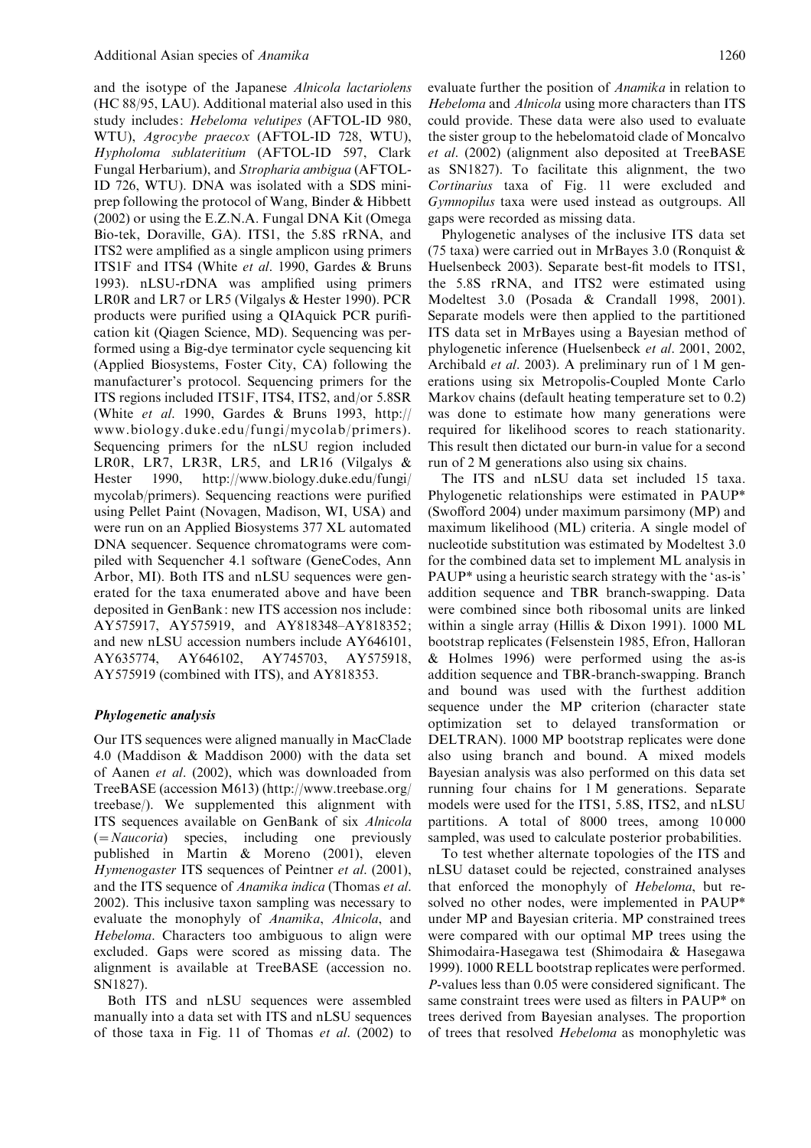and the isotype of the Japanese Alnicola lactariolens (HC 88/95, LAU). Additional material also used in this study includes: Hebeloma velutipes (AFTOL-ID 980, WTU), Agrocybe praecox (AFTOL-ID 728, WTU), Hypholoma sublateritium (AFTOL-ID 597, Clark Fungal Herbarium), and Stropharia ambigua (AFTOL-ID 726, WTU). DNA was isolated with a SDS miniprep following the protocol of Wang, Binder & Hibbett (2002) or using the E.Z.N.A. Fungal DNA Kit (Omega Bio-tek, Doraville, GA). ITS1, the 5.8S rRNA, and ITS2 were amplified as a single amplicon using primers ITS1F and ITS4 (White et al. 1990, Gardes & Bruns 1993). nLSU-rDNA was amplified using primers LR0R and LR7 or LR5 (Vilgalys & Hester 1990). PCR products were purified using a QIAquick PCR purification kit (Qiagen Science, MD). Sequencing was performed using a Big-dye terminator cycle sequencing kit (Applied Biosystems, Foster City, CA) following the manufacturer's protocol. Sequencing primers for the ITS regions included ITS1F, ITS4, ITS2, and/or 5.8SR (White et al. 1990, Gardes & Bruns 1993, http:// www.biology.duke.edu/fungi/mycolab/primers). Sequencing primers for the nLSU region included LR0R, LR7, LR3R, LR5, and LR16 (Vilgalys & Hester 1990, http://www.biology.duke.edu/fungi/ mycolab/primers). Sequencing reactions were purified using Pellet Paint (Novagen, Madison, WI, USA) and were run on an Applied Biosystems 377 XL automated DNA sequencer. Sequence chromatograms were compiled with Sequencher 4.1 software (GeneCodes, Ann Arbor, MI). Both ITS and nLSU sequences were generated for the taxa enumerated above and have been deposited in GenBank: new ITS accession nos include: AY575917, AY575919, and AY818348–AY818352; and new nLSU accession numbers include AY646101, AY635774, AY646102, AY745703, AY575918, AY575919 (combined with ITS), and AY818353.

#### Phylogenetic analysis

Our ITS sequences were aligned manually in MacClade 4.0 (Maddison & Maddison 2000) with the data set of Aanen et al. (2002), which was downloaded from TreeBASE (accession M613) (http://www.treebase.org/ treebase/). We supplemented this alignment with ITS sequences available on GenBank of six Alnicola  $(=Naucoria)$  species, including one previously published in Martin & Moreno (2001), eleven Hymenogaster ITS sequences of Peintner et al. (2001), and the ITS sequence of Anamika indica (Thomas et al. 2002). This inclusive taxon sampling was necessary to evaluate the monophyly of Anamika, Alnicola, and Hebeloma. Characters too ambiguous to align were excluded. Gaps were scored as missing data. The alignment is available at TreeBASE (accession no. SN1827).

Both ITS and nLSU sequences were assembled manually into a data set with ITS and nLSU sequences of those taxa in Fig. 11 of Thomas et al. (2002) to

evaluate further the position of Anamika in relation to Hebeloma and Alnicola using more characters than ITS could provide. These data were also used to evaluate the sister group to the hebelomatoid clade of Moncalvo et al. (2002) (alignment also deposited at TreeBASE as SN1827). To facilitate this alignment, the two Cortinarius taxa of Fig. 11 were excluded and Gymnopilus taxa were used instead as outgroups. All gaps were recorded as missing data.

Phylogenetic analyses of the inclusive ITS data set (75 taxa) were carried out in MrBayes 3.0 (Ronquist & Huelsenbeck 2003). Separate best-fit models to ITS1, the 5.8S rRNA, and ITS2 were estimated using Modeltest 3.0 (Posada & Crandall 1998, 2001). Separate models were then applied to the partitioned ITS data set in MrBayes using a Bayesian method of phylogenetic inference (Huelsenbeck et al. 2001, 2002, Archibald et al. 2003). A preliminary run of 1 M generations using six Metropolis-Coupled Monte Carlo Markov chains (default heating temperature set to 0.2) was done to estimate how many generations were required for likelihood scores to reach stationarity. This result then dictated our burn-in value for a second run of 2 M generations also using six chains.

The ITS and nLSU data set included 15 taxa. Phylogenetic relationships were estimated in PAUP\* (Swofford 2004) under maximum parsimony (MP) and maximum likelihood (ML) criteria. A single model of nucleotide substitution was estimated by Modeltest 3.0 for the combined data set to implement ML analysis in PAUP<sup>\*</sup> using a heuristic search strategy with the 'as-is' addition sequence and TBR branch-swapping. Data were combined since both ribosomal units are linked within a single array (Hillis & Dixon 1991). 1000 ML bootstrap replicates (Felsenstein 1985, Efron, Halloran & Holmes 1996) were performed using the as-is addition sequence and TBR-branch-swapping. Branch and bound was used with the furthest addition sequence under the MP criterion (character state optimization set to delayed transformation or DELTRAN). 1000 MP bootstrap replicates were done also using branch and bound. A mixed models Bayesian analysis was also performed on this data set running four chains for 1 M generations. Separate models were used for the ITS1, 5.8S, ITS2, and nLSU partitions. A total of 8000 trees, among 10 000 sampled, was used to calculate posterior probabilities.

To test whether alternate topologies of the ITS and nLSU dataset could be rejected, constrained analyses that enforced the monophyly of Hebeloma, but resolved no other nodes, were implemented in PAUP\* under MP and Bayesian criteria. MP constrained trees were compared with our optimal MP trees using the Shimodaira-Hasegawa test (Shimodaira & Hasegawa 1999). 1000 RELL bootstrap replicates were performed. P-values less than 0.05 were considered significant. The same constraint trees were used as filters in PAUP\* on trees derived from Bayesian analyses. The proportion of trees that resolved Hebeloma as monophyletic was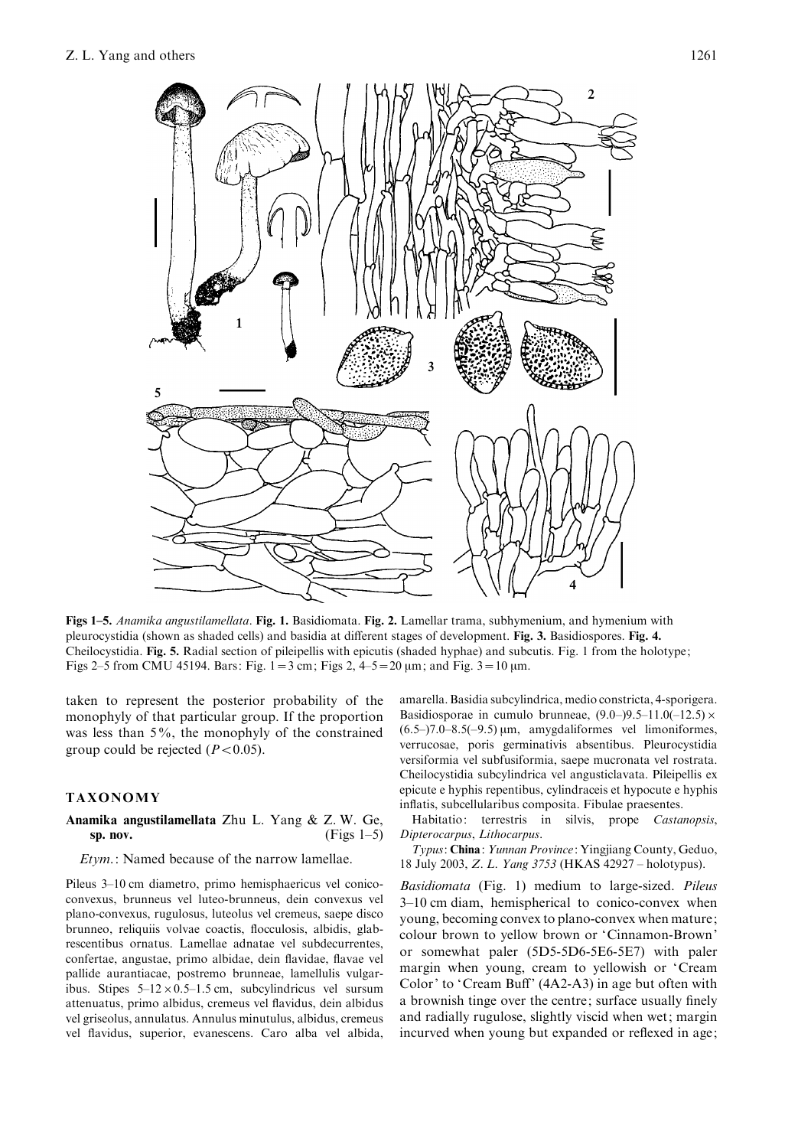

Figs 1–5. Anamika angustilamellata. Fig. 1. Basidiomata. Fig. 2. Lamellar trama, subhymenium, and hymenium with pleurocystidia (shown as shaded cells) and basidia at different stages of development. Fig. 3. Basidiospores. Fig. 4. Cheilocystidia. Fig. 5. Radial section of pileipellis with epicutis (shaded hyphae) and subcutis. Fig. 1 from the holotype; Figs 2–5 from CMU 45194. Bars: Fig.  $1 = 3$  cm; Figs 2,  $4-5 = 20$  um; and Fig.  $3 = 10$  um.

taken to represent the posterior probability of the monophyly of that particular group. If the proportion was less than 5%, the monophyly of the constrained group could be rejected  $(P<0.05)$ .

# TAXONOMY

# Anamika angustilamellata Zhu L. Yang & Z. W. Ge, sp. nov.  $(Figs 1-5)$

### Etym.: Named because of the narrow lamellae.

Pileus 3–10 cm diametro, primo hemisphaericus vel conicoconvexus, brunneus vel luteo-brunneus, dein convexus vel plano-convexus, rugulosus, luteolus vel cremeus, saepe disco brunneo, reliquiis volvae coactis, flocculosis, albidis, glabrescentibus ornatus. Lamellae adnatae vel subdecurrentes, confertae, angustae, primo albidae, dein flavidae, flavae vel pallide aurantiacae, postremo brunneae, lamellulis vulgaribus. Stipes  $5-12 \times 0.5-1.5$  cm, subcylindricus vel sursum attenuatus, primo albidus, cremeus vel flavidus, dein albidus vel griseolus, annulatus. Annulus minutulus, albidus, cremeus vel flavidus, superior, evanescens. Caro alba vel albida,

amarella. Basidia subcylindrica, medio constricta, 4-sporigera. Basidiosporae in cumulo brunneae,  $(9.0-)9.5-11.0(-12.5) \times$  $(6.5-)7.0-8.5(-9.5) \,\text{\mu m}$ , amygdaliformes vel limoniformes, verrucosae, poris germinativis absentibus. Pleurocystidia versiformia vel subfusiformia, saepe mucronata vel rostrata. Cheilocystidia subcylindrica vel angusticlavata. Pileipellis ex epicute e hyphis repentibus, cylindraceis et hypocute e hyphis inflatis, subcellularibus composita. Fibulae praesentes.

Habitatio: terrestris in silvis, prope Castanopsis, Dipterocarpus, Lithocarpus.

Typus: China: Yunnan Province: Yingjiang County, Geduo, 18 July 2003, Z. L. Yang 3753 (HKAS 42927 – holotypus).

Basidiomata (Fig. 1) medium to large-sized. Pileus 3–10 cm diam, hemispherical to conico-convex when young, becoming convex to plano-convex when mature; colour brown to yellow brown or 'Cinnamon-Brown' or somewhat paler (5D5-5D6-5E6-5E7) with paler margin when young, cream to yellowish or 'Cream Color' to 'Cream Buff' (4A2-A3) in age but often with a brownish tinge over the centre; surface usually finely and radially rugulose, slightly viscid when wet; margin incurved when young but expanded or reflexed in age;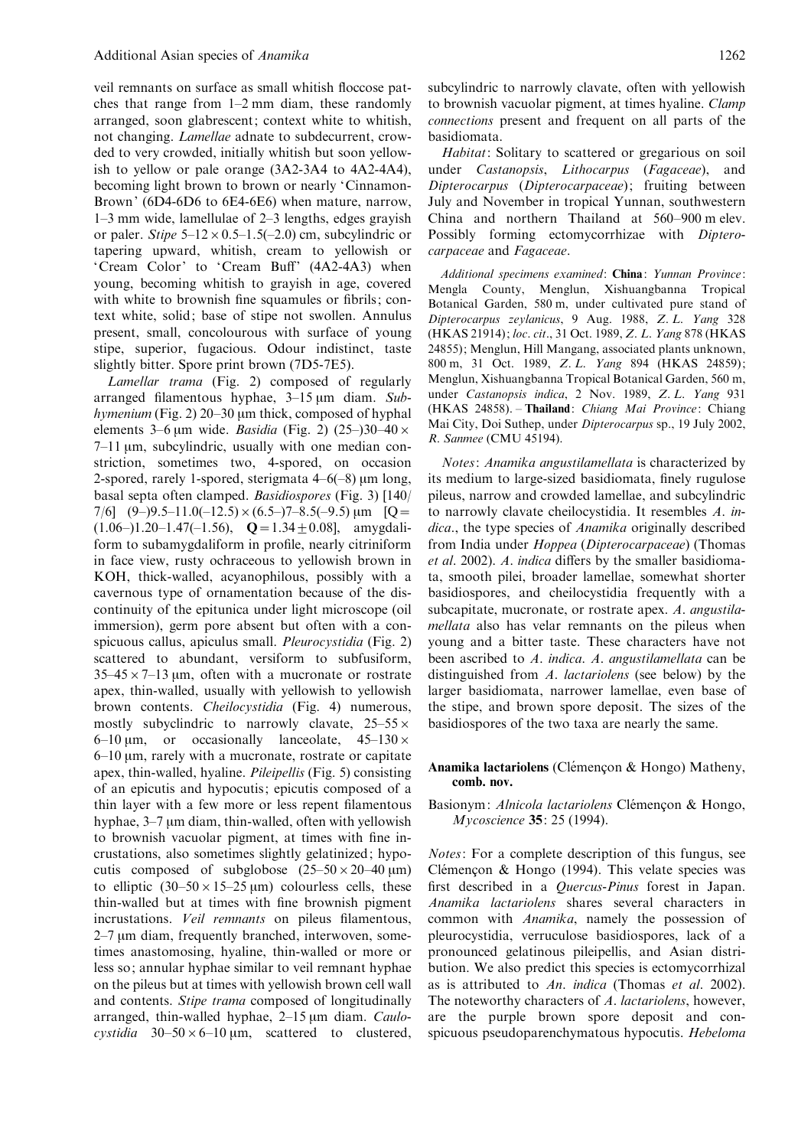veil remnants on surface as small whitish floccose patches that range from 1–2 mm diam, these randomly arranged, soon glabrescent; context white to whitish, not changing. Lamellae adnate to subdecurrent, crowded to very crowded, initially whitish but soon yellowish to yellow or pale orange (3A2-3A4 to 4A2-4A4), becoming light brown to brown or nearly 'Cinnamon-Brown' (6D4-6D6 to 6E4-6E6) when mature, narrow, 1–3 mm wide, lamellulae of 2–3 lengths, edges grayish or paler. Stipe  $5-12 \times 0.5-1.5(-2.0)$  cm, subcylindric or tapering upward, whitish, cream to yellowish or 'Cream Color' to 'Cream Buff' (4A2-4A3) when young, becoming whitish to grayish in age, covered with white to brownish fine squamules or fibrils; context white, solid; base of stipe not swollen. Annulus present, small, concolourous with surface of young stipe, superior, fugacious. Odour indistinct, taste slightly bitter. Spore print brown (7D5-7E5).

Lamellar trama (Fig. 2) composed of regularly arranged filamentous hyphae,  $3-15 \mu m$  diam. Subhymenium (Fig. 2)  $20-30$  µm thick, composed of hyphal elements 3–6 µm wide. Basidia (Fig. 2) (25–)30–40  $\times$ 7-11 µm, subcylindric, usually with one median constriction, sometimes two, 4-spored, on occasion 2-spored, rarely 1-spored, sterigmata  $4-6(-8)$  µm long, basal septa often clamped. Basidiospores (Fig. 3) [140/ 7/6]  $(9-)9.5-11.0(-12.5) \times (6.5-)7-8.5(-9.5) \,\mu m$  [Q =  $(1.06–)1.20–1.47(-1.56), \quad \mathbf{Q} = 1.34 \pm 0.08$ , amygdaliform to subamygdaliform in profile, nearly citriniform in face view, rusty ochraceous to yellowish brown in KOH, thick-walled, acyanophilous, possibly with a cavernous type of ornamentation because of the discontinuity of the epitunica under light microscope (oil immersion), germ pore absent but often with a conspicuous callus, apiculus small. Pleurocystidia (Fig. 2) scattered to abundant, versiform to subfusiform,  $35-45 \times 7-13$  µm, often with a mucronate or rostrate apex, thin-walled, usually with yellowish to yellowish brown contents. Cheilocystidia (Fig. 4) numerous, mostly subyclindric to narrowly clavate,  $25-55 \times$ 6–10 um, or occasionally lanceolate,  $45-130 \times$  $6-10$  um, rarely with a mucronate, rostrate or capitate apex, thin-walled, hyaline. Pileipellis (Fig. 5) consisting of an epicutis and hypocutis; epicutis composed of a thin layer with a few more or less repent filamentous hyphae,  $3-7 \mu m$  diam, thin-walled, often with yellowish to brownish vacuolar pigment, at times with fine incrustations, also sometimes slightly gelatinized; hypocutis composed of subglobose  $(25-50 \times 20-40 \,\mu\text{m})$ to elliptic  $(30-50\times15-25 \text{ }\mu\text{m})$  colourless cells, these thin-walled but at times with fine brownish pigment incrustations. Veil remnants on pileus filamentous,  $2-7 \mu m$  diam, frequently branched, interwoven, sometimes anastomosing, hyaline, thin-walled or more or less so; annular hyphae similar to veil remnant hyphae on the pileus but at times with yellowish brown cell wall and contents. Stipe trama composed of longitudinally arranged, thin-walled hyphae,  $2-15 \mu m$  diam. *Caulo*cystidia  $30-50 \times 6-10$  um, scattered to clustered,

subcylindric to narrowly clavate, often with yellowish to brownish vacuolar pigment, at times hyaline. Clamp connections present and frequent on all parts of the basidiomata.

Habitat: Solitary to scattered or gregarious on soil under Castanopsis, Lithocarpus (Fagaceae), and Dipterocarpus (Dipterocarpaceae); fruiting between July and November in tropical Yunnan, southwestern China and northern Thailand at 560–900 m elev. Possibly forming ectomycorrhizae with Dipterocarpaceae and Fagaceae.

Additional specimens examined: China: Yunnan Province: Mengla County, Menglun, Xishuangbanna Tropical Botanical Garden, 580 m, under cultivated pure stand of Dipterocarpus zeylanicus, 9 Aug. 1988, Z. L. Yang 328 (HKAS 21914); loc. cit., 31 Oct. 1989, Z. L. Yang 878 (HKAS 24855); Menglun, Hill Mangang, associated plants unknown, 800 m, 31 Oct. 1989, Z. L. Yang 894 (HKAS 24859); Menglun, Xishuangbanna Tropical Botanical Garden, 560 m, under Castanopsis indica, 2 Nov. 1989, Z. L. Yang 931 (HKAS 24858). – Thailand: Chiang Mai Province: Chiang Mai City, Doi Suthep, under Dipterocarpus sp., 19 July 2002, R. Sanmee (CMU 45194).

Notes: Anamika angustilamellata is characterized by its medium to large-sized basidiomata, finely rugulose pileus, narrow and crowded lamellae, and subcylindric to narrowly clavate cheilocystidia. It resembles A. indica., the type species of Anamika originally described from India under Hoppea (Dipterocarpaceae) (Thomas et al. 2002). A. indica differs by the smaller basidiomata, smooth pilei, broader lamellae, somewhat shorter basidiospores, and cheilocystidia frequently with a subcapitate, mucronate, or rostrate apex. A. angustilamellata also has velar remnants on the pileus when young and a bitter taste. These characters have not been ascribed to A. indica. A. angustilamellata can be distinguished from A. lactariolens (see below) by the larger basidiomata, narrower lamellae, even base of the stipe, and brown spore deposit. The sizes of the basidiospores of the two taxa are nearly the same.

#### Anamika lactariolens (Clémençon & Hongo) Matheny, comb. nov.

# Basionym: Alnicola lactariolens Clémençon & Hongo, Mycoscience 35: 25 (1994).

Notes: For a complete description of this fungus, see Clémençon & Hongo (1994). This velate species was first described in a Quercus-Pinus forest in Japan. Anamika lactariolens shares several characters in common with Anamika, namely the possession of pleurocystidia, verruculose basidiospores, lack of a pronounced gelatinous pileipellis, and Asian distribution. We also predict this species is ectomycorrhizal as is attributed to An. indica (Thomas et al. 2002). The noteworthy characters of A. lactariolens, however, are the purple brown spore deposit and conspicuous pseudoparenchymatous hypocutis. Hebeloma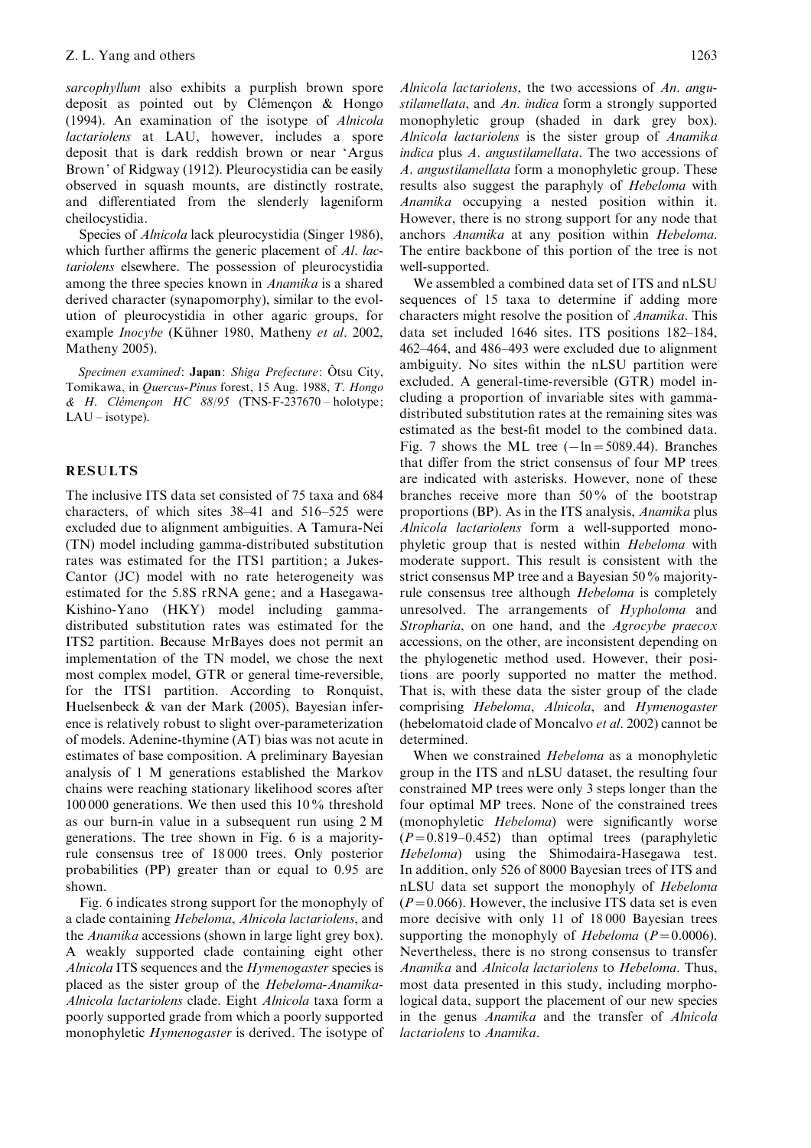sarcophyllum also exhibits a purplish brown spore deposit as pointed out by Clémencon  $\&$  Hongo (1994). An examination of the isotype of Alnicola lactariolens at LAU, however, includes a spore deposit that is dark reddish brown or near 'Argus Brown' of Ridgway (1912). Pleurocystidia can be easily observed in squash mounts, are distinctly rostrate, and differentiated from the slenderly lageniform cheilocystidia.

Species of Alnicola lack pleurocystidia (Singer 1986), which further affirms the generic placement of Al. lactariolens elsewhere. The possession of pleurocystidia among the three species known in Anamika is a shared derived character (synapomorphy), similar to the evolution of pleurocystidia in other agaric groups, for example Inocybe (Kühner 1980, Matheny et al. 2002, Matheny 2005).

Specimen examined: Japan: Shiga Prefecture: Ôtsu City, Tomikawa, in Quercus-Pinus forest, 15 Aug. 1988, T. Hongo & H. Clémencon HC  $88/95$  (TNS-F-237670 – holotype; LAU – isotype).

# RESULTS

The inclusive ITS data set consisted of 75 taxa and 684 characters, of which sites 38–41 and 516–525 were excluded due to alignment ambiguities. A Tamura-Nei (TN) model including gamma-distributed substitution rates was estimated for the ITS1 partition; a Jukes-Cantor (JC) model with no rate heterogeneity was estimated for the 5.8S rRNA gene; and a Hasegawa-Kishino-Yano (HKY) model including gammadistributed substitution rates was estimated for the ITS2 partition. Because MrBayes does not permit an implementation of the TN model, we chose the next most complex model, GTR or general time-reversible, for the ITS1 partition. According to Ronquist, Huelsenbeck & van der Mark (2005), Bayesian inference is relatively robust to slight over-parameterization of models. Adenine-thymine (AT) bias was not acute in estimates of base composition. A preliminary Bayesian analysis of 1 M generations established the Markov chains were reaching stationary likelihood scores after 100 000 generations. We then used this 10% threshold as our burn-in value in a subsequent run using 2 M generations. The tree shown in Fig. 6 is a majorityrule consensus tree of 18 000 trees. Only posterior probabilities (PP) greater than or equal to 0.95 are shown.

Fig. 6 indicates strong support for the monophyly of a clade containing Hebeloma, Alnicola lactariolens, and the Anamika accessions (shown in large light grey box). A weakly supported clade containing eight other Alnicola ITS sequences and the *Hymenogaster* species is placed as the sister group of the Hebeloma-Anamika-Alnicola lactariolens clade. Eight Alnicola taxa form a poorly supported grade from which a poorly supported monophyletic Hymenogaster is derived. The isotype of

Alnicola lactariolens, the two accessions of An. angustilamellata, and An. indica form a strongly supported monophyletic group (shaded in dark grey box). Alnicola lactariolens is the sister group of Anamika indica plus A. angustilamellata. The two accessions of A. angustilamellata form a monophyletic group. These results also suggest the paraphyly of Hebeloma with Anamika occupying a nested position within it. However, there is no strong support for any node that anchors Anamika at any position within Hebeloma. The entire backbone of this portion of the tree is not well-supported.

We assembled a combined data set of ITS and nLSU sequences of 15 taxa to determine if adding more characters might resolve the position of Anamika. This data set included 1646 sites. ITS positions 182–184, 462–464, and 486–493 were excluded due to alignment ambiguity. No sites within the nLSU partition were excluded. A general-time-reversible (GTR) model including a proportion of invariable sites with gammadistributed substitution rates at the remaining sites was estimated as the best-fit model to the combined data. Fig. 7 shows the ML tree  $(-\ln=5089.44)$ . Branches that differ from the strict consensus of four MP trees are indicated with asterisks. However, none of these branches receive more than 50% of the bootstrap proportions (BP). As in the ITS analysis, Anamika plus Alnicola lactariolens form a well-supported monophyletic group that is nested within Hebeloma with moderate support. This result is consistent with the strict consensus MP tree and a Bayesian 50% majorityrule consensus tree although Hebeloma is completely unresolved. The arrangements of Hypholoma and Stropharia, on one hand, and the Agrocybe praecox accessions, on the other, are inconsistent depending on the phylogenetic method used. However, their positions are poorly supported no matter the method. That is, with these data the sister group of the clade comprising Hebeloma, Alnicola, and Hymenogaster (hebelomatoid clade of Moncalvo et al. 2002) cannot be determined.

When we constrained *Hebeloma* as a monophyletic group in the ITS and nLSU dataset, the resulting four constrained MP trees were only 3 steps longer than the four optimal MP trees. None of the constrained trees (monophyletic *Hebeloma*) were significantly worse  $(P=0.819-0.452)$  than optimal trees (paraphyletic Hebeloma) using the Shimodaira-Hasegawa test. In addition, only 526 of 8000 Bayesian trees of ITS and nLSU data set support the monophyly of Hebeloma  $(P=0.066)$ . However, the inclusive ITS data set is even more decisive with only 11 of 18 000 Bayesian trees supporting the monophyly of *Hebeloma* ( $P=0.0006$ ). Nevertheless, there is no strong consensus to transfer Anamika and Alnicola lactariolens to Hebeloma. Thus, most data presented in this study, including morphological data, support the placement of our new species in the genus Anamika and the transfer of Alnicola lactariolens to Anamika.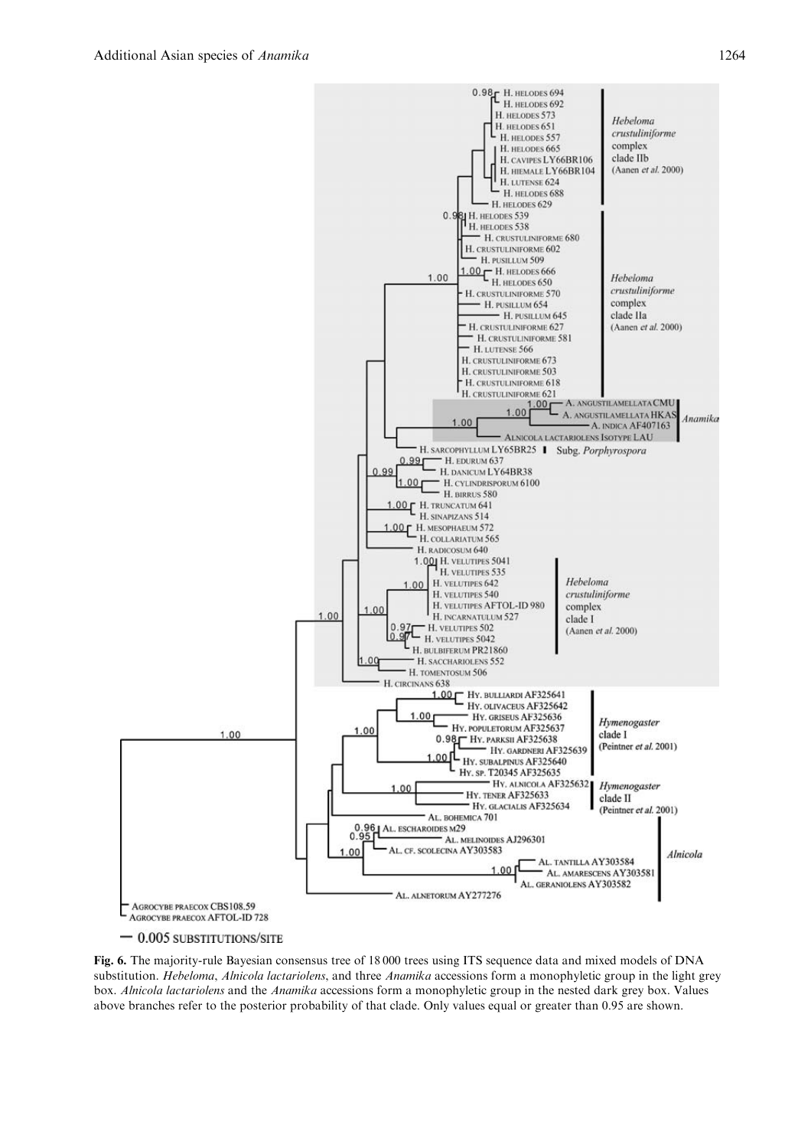

 $-0.005$  substitutions/site

Fig. 6. The majority-rule Bayesian consensus tree of 18 000 trees using ITS sequence data and mixed models of DNA substitution. Hebeloma, Alnicola lactariolens, and three Anamika accessions form a monophyletic group in the light grey box. Alnicola lactariolens and the Anamika accessions form a monophyletic group in the nested dark grey box. Values above branches refer to the posterior probability of that clade. Only values equal or greater than 0.95 are shown.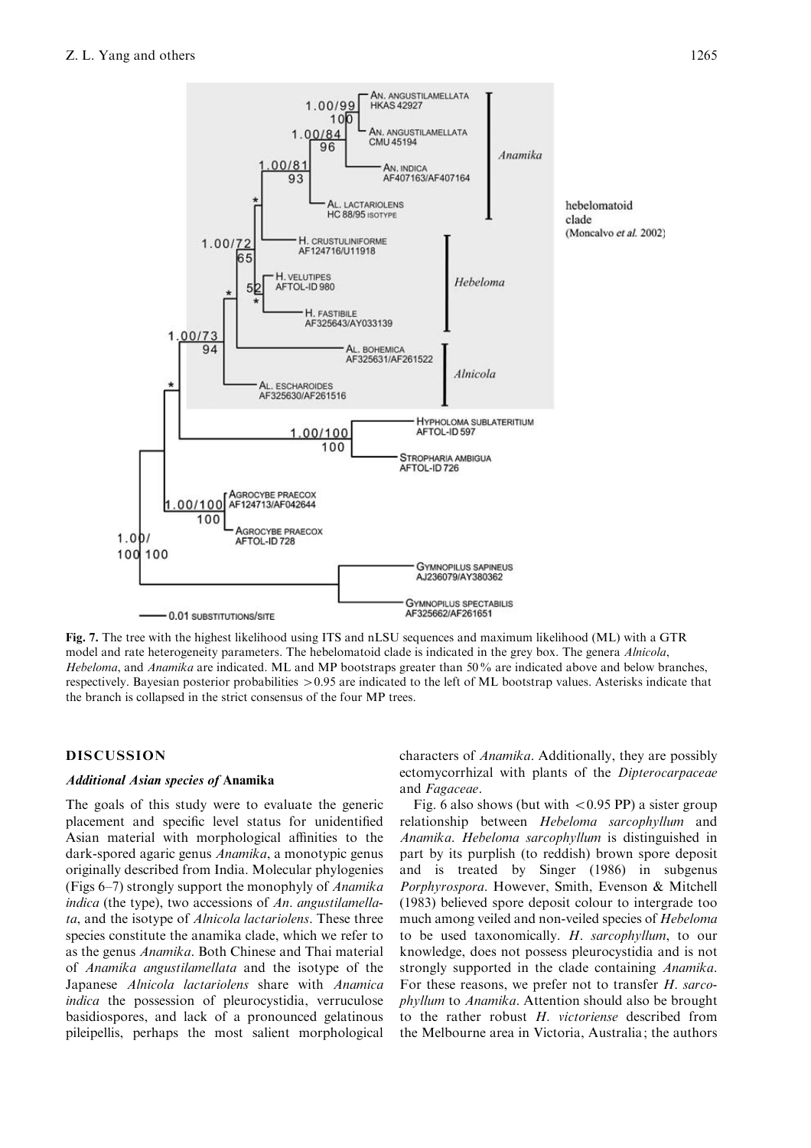

Fig. 7. The tree with the highest likelihood using ITS and nLSU sequences and maximum likelihood (ML) with a GTR model and rate heterogeneity parameters. The hebelomatoid clade is indicated in the grey box. The genera Alnicola, Hebeloma, and Anamika are indicated. ML and MP bootstraps greater than 50% are indicated above and below branches, respectively. Bayesian posterior probabilities  $>0.95$  are indicated to the left of ML bootstrap values. Asterisks indicate that the branch is collapsed in the strict consensus of the four MP trees.

# DISCUSSION

# Additional Asian species of Anamika

The goals of this study were to evaluate the generic placement and specific level status for unidentified Asian material with morphological affinities to the dark-spored agaric genus Anamika, a monotypic genus originally described from India. Molecular phylogenies (Figs 6–7) strongly support the monophyly of Anamika indica (the type), two accessions of An. angustilamellata, and the isotype of Alnicola lactariolens. These three species constitute the anamika clade, which we refer to as the genus Anamika. Both Chinese and Thai material of Anamika angustilamellata and the isotype of the Japanese Alnicola lactariolens share with Anamica indica the possession of pleurocystidia, verruculose basidiospores, and lack of a pronounced gelatinous pileipellis, perhaps the most salient morphological

characters of Anamika. Additionally, they are possibly ectomycorrhizal with plants of the *Dipterocarpaceae* and Fagaceae.

Fig. 6 also shows (but with  $< 0.95$  PP) a sister group relationship between Hebeloma sarcophyllum and Anamika. Hebeloma sarcophyllum is distinguished in part by its purplish (to reddish) brown spore deposit and is treated by Singer (1986) in subgenus Porphyrospora. However, Smith, Evenson & Mitchell (1983) believed spore deposit colour to intergrade too much among veiled and non-veiled species of Hebeloma to be used taxonomically. H. sarcophyllum, to our knowledge, does not possess pleurocystidia and is not strongly supported in the clade containing *Anamika*. For these reasons, we prefer not to transfer H. sarcophyllum to Anamika. Attention should also be brought to the rather robust H. victoriense described from the Melbourne area in Victoria, Australia; the authors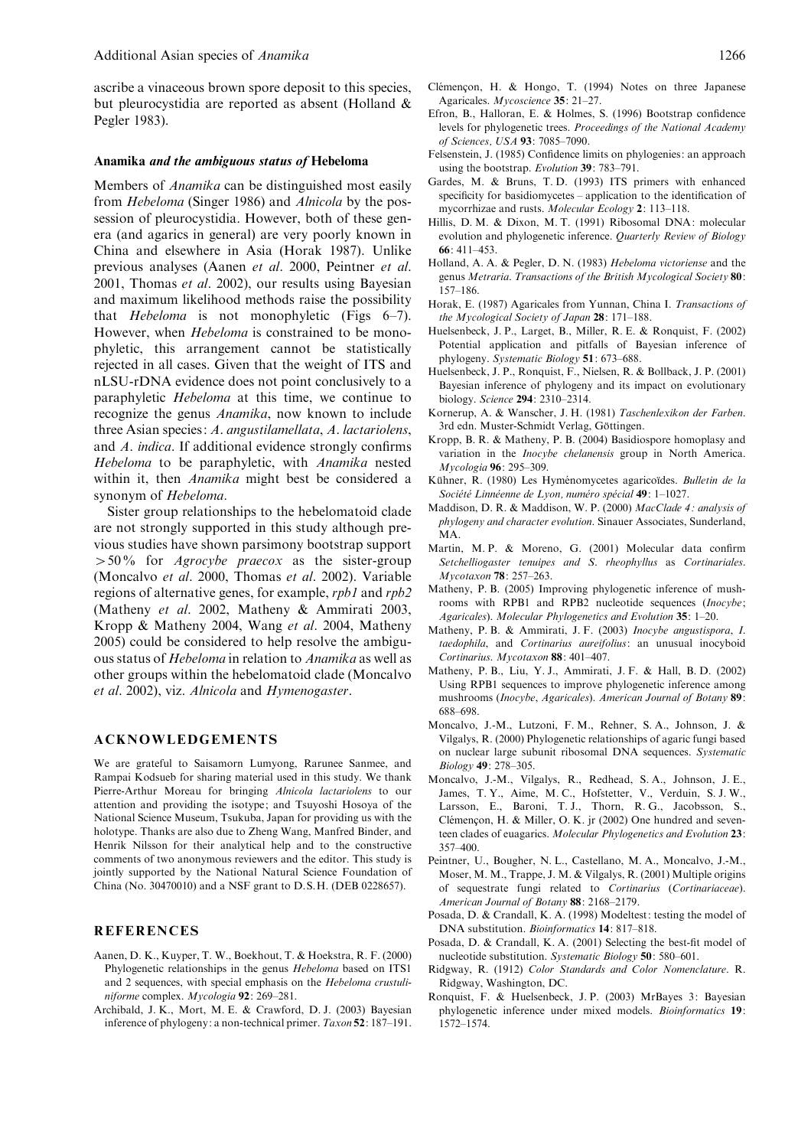ascribe a vinaceous brown spore deposit to this species, but pleurocystidia are reported as absent (Holland & Pegler 1983).

#### Anamika and the ambiguous status of Hebeloma

Members of Anamika can be distinguished most easily from Hebeloma (Singer 1986) and Alnicola by the possession of pleurocystidia. However, both of these genera (and agarics in general) are very poorly known in China and elsewhere in Asia (Horak 1987). Unlike previous analyses (Aanen et al. 2000, Peintner et al. 2001, Thomas et al. 2002), our results using Bayesian and maximum likelihood methods raise the possibility that Hebeloma is not monophyletic (Figs 6–7). However, when Hebeloma is constrained to be monophyletic, this arrangement cannot be statistically rejected in all cases. Given that the weight of ITS and nLSU-rDNA evidence does not point conclusively to a paraphyletic Hebeloma at this time, we continue to recognize the genus Anamika, now known to include three Asian species: A. angustilamellata, A. lactariolens, and A. indica. If additional evidence strongly confirms Hebeloma to be paraphyletic, with Anamika nested within it, then Anamika might best be considered a synonym of Hebeloma.

Sister group relationships to the hebelomatoid clade are not strongly supported in this study although previous studies have shown parsimony bootstrap support  $>50\%$  for *Agrocybe praecox* as the sister-group (Moncalvo et al. 2000, Thomas et al. 2002). Variable regions of alternative genes, for example, rpb1 and rpb2 (Matheny et al. 2002, Matheny & Ammirati 2003, Kropp & Matheny 2004, Wang et al. 2004, Matheny 2005) could be considered to help resolve the ambiguous status of Hebeloma in relation to Anamika as well as other groups within the hebelomatoid clade (Moncalvo et al. 2002), viz. Alnicola and Hymenogaster.

#### ACKNOWLEDGEMENTS

We are grateful to Saisamorn Lumyong, Rarunee Sanmee, and Rampai Kodsueb for sharing material used in this study. We thank Pierre-Arthur Moreau for bringing Alnicola lactariolens to our attention and providing the isotype; and Tsuyoshi Hosoya of the National Science Museum, Tsukuba, Japan for providing us with the holotype. Thanks are also due to Zheng Wang, Manfred Binder, and Henrik Nilsson for their analytical help and to the constructive comments of two anonymous reviewers and the editor. This study is jointly supported by the National Natural Science Foundation of China (No. 30470010) and a NSF grant to D.S.H. (DEB 0228657).

#### REFERENCES

- Aanen, D. K., Kuyper, T. W., Boekhout, T. & Hoekstra, R. F. (2000) Phylogenetic relationships in the genus Hebeloma based on ITS1 and 2 sequences, with special emphasis on the Hebeloma crustuliniforme complex. Mycologia 92: 269–281.
- Archibald, J. K., Mort, M. E. & Crawford, D. J. (2003) Bayesian inference of phylogeny: a non-technical primer. Taxon 52: 187–191.
- Clémençon, H. & Hongo, T. (1994) Notes on three Japanese Agaricales. Mycoscience 35: 21–27.
- Efron, B., Halloran, E. & Holmes, S. (1996) Bootstrap confidence levels for phylogenetic trees. Proceedings of the National Academy of Sciences, USA 93: 7085–7090.
- Felsenstein, J. (1985) Confidence limits on phylogenies: an approach using the bootstrap. Evolution 39: 783–791.
- Gardes, M. & Bruns, T. D. (1993) ITS primers with enhanced specificity for basidiomycetes – application to the identification of mycorrhizae and rusts. Molecular Ecology 2: 113–118.
- Hillis, D. M. & Dixon, M. T. (1991) Ribosomal DNA: molecular evolution and phylogenetic inference. Quarterly Review of Biology  $66 \cdot 411 - 453$
- Holland, A. A. & Pegler, D. N. (1983) Hebeloma victoriense and the genus Metraria. Transactions of the British Mycological Society 80: 157–186.
- Horak, E. (1987) Agaricales from Yunnan, China I. Transactions of the Mycological Society of Japan 28: 171–188.
- Huelsenbeck, J. P., Larget, B., Miller, R. E. & Ronquist, F. (2002) Potential application and pitfalls of Bayesian inference of phylogeny. Systematic Biology 51: 673–688.
- Huelsenbeck, J. P., Ronquist, F., Nielsen, R. & Bollback, J. P. (2001) Bayesian inference of phylogeny and its impact on evolutionary biology. Science 294: 2310–2314.
- Kornerup, A. & Wanscher, J. H. (1981) Taschenlexikon der Farben. 3rd edn. Muster-Schmidt Verlag, Göttingen.
- Kropp, B. R. & Matheny, P. B. (2004) Basidiospore homoplasy and variation in the Inocybe chelanensis group in North America. Mycologia 96: 295–309.
- Kühner, R. (1980) Les Hyménomycetes agaricoïdes. Bulletin de la Société Linnéenne de Lyon, numéro spécial 49: 1–1027.
- Maddison, D. R. & Maddison, W. P. (2000) MacClade 4 : analysis of phylogeny and character evolution. Sinauer Associates, Sunderland, MA.
- Martin, M. P. & Moreno, G. (2001) Molecular data confirm Setchelliogaster tenuipes and S. rheophyllus as Cortinariales. Mycotaxon 78: 257–263.
- Matheny, P. B. (2005) Improving phylogenetic inference of mushrooms with RPB1 and RPB2 nucleotide sequences (Inocybe; Agaricales). Molecular Phylogenetics and Evolution 35: 1–20.
- Matheny, P. B. & Ammirati, J. F. (2003) Inocybe angustispora, I. taedophila, and Cortinarius aureifolius: an unusual inocyboid Cortinarius. Mycotaxon 88: 401–407.
- Matheny, P. B., Liu, Y. J., Ammirati, J. F. & Hall, B. D. (2002) Using RPB1 sequences to improve phylogenetic inference among mushrooms (Inocybe, Agaricales). American Journal of Botany 89: 688–698.
- Moncalvo, J.-M., Lutzoni, F. M., Rehner, S. A., Johnson, J. & Vilgalys, R. (2000) Phylogenetic relationships of agaric fungi based on nuclear large subunit ribosomal DNA sequences. Systematic Biology 49: 278–305.
- Moncalvo, J.-M., Vilgalys, R., Redhead, S. A., Johnson, J. E., James, T. Y., Aime, M. C., Hofstetter, V., Verduin, S. J. W., Larsson, E., Baroni, T. J., Thorn, R. G., Jacobsson, S., Clémençon, H. & Miller, O. K. jr (2002) One hundred and seventeen clades of euagarics. Molecular Phylogenetics and Evolution 23: 357–400.
- Peintner, U., Bougher, N. L., Castellano, M. A., Moncalvo, J.-M., Moser, M. M., Trappe, J. M. & Vilgalys, R. (2001) Multiple origins of sequestrate fungi related to Cortinarius (Cortinariaceae). American Journal of Botany 88: 2168–2179.
- Posada, D. & Crandall, K. A. (1998) Modeltest: testing the model of DNA substitution. Bioinformatics 14: 817–818.
- Posada, D. & Crandall, K. A. (2001) Selecting the best-fit model of nucleotide substitution. Systematic Biology 50: 580–601.
- Ridgway, R. (1912) Color Standards and Color Nomenclature. R. Ridgway, Washington, DC.
- Ronquist, F. & Huelsenbeck, J. P. (2003) MrBayes 3: Bayesian phylogenetic inference under mixed models. Bioinformatics 19: 1572–1574.